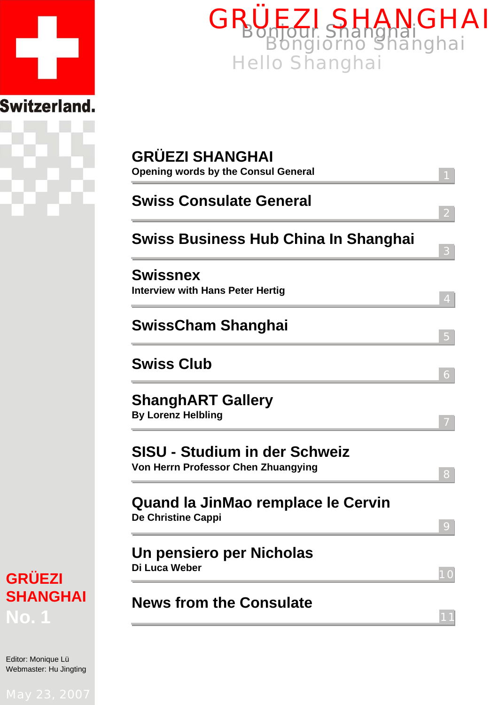



| <b>Swiss Consulate General</b> |                                                                             |  |
|--------------------------------|-----------------------------------------------------------------------------|--|
|                                | Swiss Business Hub China In Shanghai                                        |  |
| <b>Swissnex</b>                | <b>Interview with Hans Peter Hertig</b>                                     |  |
|                                | <b>SwissCham Shanghai</b>                                                   |  |
| <b>Swiss Club</b>              |                                                                             |  |
| <b>By Lorenz Helbling</b>      | <b>ShanghART Gallery</b>                                                    |  |
|                                | <b>SISU - Studium in der Schweiz</b><br>Von Herrn Professor Chen Zhuangying |  |
| De Christine Cappi             | Quand la JinMao remplace le Cervin                                          |  |
| Di Luca Weber                  | Un pensiero per Nicholas                                                    |  |

# **GRÜEZI SHANGHAI No. 1**

Editor: Monique Lü Webmaster: Hu Jingting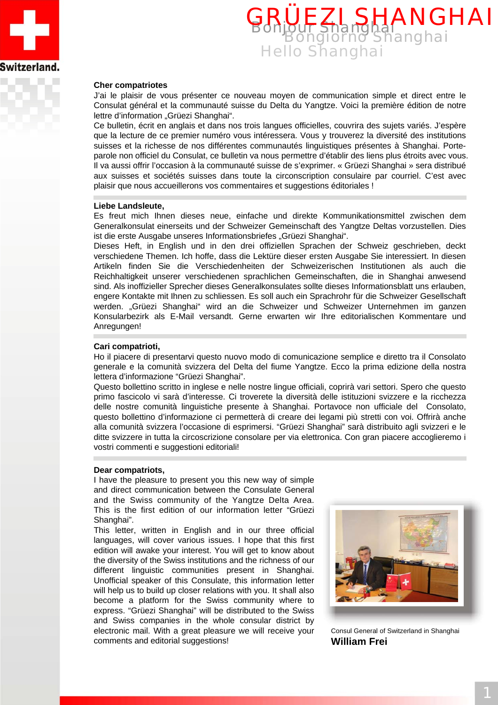



#### **Cher compatriotes**

J'ai le plaisir de vous présenter ce nouveau moyen de communication simple et direct entre le Consulat général et la communauté suisse du Delta du Yangtze. Voici la première édition de notre lettre d'information "Grüezi Shanghai".

Ce bulletin, écrit en anglais et dans nos trois langues officielles, couvrira des sujets variés. J'espère que la lecture de ce premier numéro vous intéressera. Vous y trouverez la diversité des institutions suisses et la richesse de nos différentes communautés linguistiques présentes à Shanghai. Porteparole non officiel du Consulat, ce bulletin va nous permettre d'établir des liens plus étroits avec vous. Il va aussi offrir l'occasion à la communauté suisse de s'exprimer. « Grüezi Shanghai » sera distribué aux suisses et sociétés suisses dans toute la circonscription consulaire par courriel. C'est avec plaisir que nous accueillerons vos commentaires et suggestions éditoriales !

#### **Liebe Landsleute,**

Es freut mich Ihnen dieses neue, einfache und direkte Kommunikationsmittel zwischen dem Generalkonsulat einerseits und der Schweizer Gemeinschaft des Yangtze Deltas vorzustellen. Dies ist die erste Ausgabe unseres Informationsbriefes "Grüezi Shanghai".

Dieses Heft, in English und in den drei offiziellen Sprachen der Schweiz geschrieben, deckt verschiedene Themen. Ich hoffe, dass die Lektüre dieser ersten Ausgabe Sie interessiert. In diesen Artikeln finden Sie die Verschiedenheiten der Schweizerischen Institutionen als auch die Reichhaltigkeit unserer verschiedenen sprachlichen Gemeinschaften, die in Shanghai anwesend sind. Als inoffizieller Sprecher dieses Generalkonsulates sollte dieses Informationsblatt uns erlauben, engere Kontakte mit Ihnen zu schliessen. Es soll auch ein Sprachrohr für die Schweizer Gesellschaft werden. "Grüezi Shanghai" wird an die Schweizer und Schweizer Unternehmen im ganzen Konsularbezirk als E-Mail versandt. Gerne erwarten wir Ihre editorialischen Kommentare und Anregungen!

#### **Cari compatrioti,**

Ho il piacere di presentarvi questo nuovo modo di comunicazione semplice e diretto tra il Consolato generale e la comunità svizzera del Delta del fiume Yangtze. Ecco la prima edizione della nostra lettera d'informazione "Grüezi Shanghai".

Questo bollettino scritto in inglese e nelle nostre lingue officiali, coprirà vari settori. Spero che questo primo fascicolo vi sarà d'interesse. Ci troverete la diversità delle istituzioni svizzere e la ricchezza delle nostre comunità linguistiche presente à Shanghai. Portavoce non ufficiale del Consolato, questo bollettino d'informazione ci permetterà di creare dei legami più stretti con voi. Offrirà anche alla comunità svizzera l'occasione di esprimersi. "Grüezi Shanghai" sarà distribuito agli svizzeri e le ditte svizzere in tutta la circoscrizione consolare per via elettronica. Con gran piacere accoglieremo i vostri commenti e suggestioni editoriali!

#### **Dear compatriots,**

I have the pleasure to present you this new way of simple and direct communication between the Consulate General and the Swiss community of the Yangtze Delta Area. This is the first edition of our information letter "Grüezi Shanghai".

This letter, written in English and in our three official languages, will cover various issues. I hope that this first edition will awake your interest. You will get to know about the diversity of the Swiss institutions and the richness of our different linguistic communities present in Shanghai. Unofficial speaker of this Consulate, this information letter will help us to build up closer relations with you. It shall also become a platform for the Swiss community where to express. "Grüezi Shanghai" will be distributed to the Swiss and Swiss companies in the whole consular district by electronic mail. With a great pleasure we will receive your comments and editorial suggestions!



Consul General of Switzerland in Shanghai **William Frei**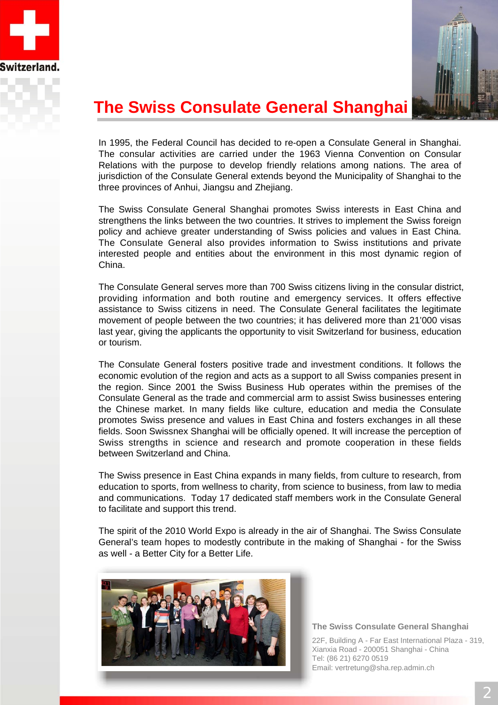



# **The Swiss Consulate General Shanghai**

In 1995, the Federal Council has decided to re-open a Consulate General in Shanghai. The consular activities are carried under the 1963 Vienna Convention on Consular Relations with the purpose to develop friendly relations among nations. The area of jurisdiction of the Consulate General extends beyond the Municipality of Shanghai to the three provinces of Anhui, Jiangsu and Zhejiang.

The Swiss Consulate General Shanghai promotes Swiss interests in East China and strengthens the links between the two countries. It strives to implement the Swiss foreign policy and achieve greater understanding of Swiss policies and values in East China. The Consulate General also provides information to Swiss institutions and private interested people and entities about the environment in this most dynamic region of China.

The Consulate General serves more than 700 Swiss citizens living in the consular district, providing information and both routine and emergency services. It offers effective assistance to Swiss citizens in need. The Consulate General facilitates the legitimate movement of people between the two countries; it has delivered more than 21'000 visas last year, giving the applicants the opportunity to visit Switzerland for business, education or tourism.

The Consulate General fosters positive trade and investment conditions. It follows the economic evolution of the region and acts as a support to all Swiss companies present in the region. Since 2001 the Swiss Business Hub operates within the premises of the Consulate General as the trade and commercial arm to assist Swiss businesses entering the Chinese market. In many fields like culture, education and media the Consulate promotes Swiss presence and values in East China and fosters exchanges in all these fields. Soon Swissnex Shanghai will be officially opened. It will increase the perception of Swiss strengths in science and research and promote cooperation in these fields between Switzerland and China.

The Swiss presence in East China expands in many fields, from culture to research, from education to sports, from wellness to charity, from science to business, from law to media and communications. Today 17 dedicated staff members work in the Consulate General to facilitate and support this trend.

The spirit of the 2010 World Expo is already in the air of Shanghai. The Swiss Consulate General's team hopes to modestly contribute in the making of Shanghai - for the Swiss as well - a Better City for a Better Life.



#### **The Swiss Consulate General Shanghai**

22F, Building A - Far East International Plaza - 319, Xianxia Road - 200051 Shanghai - China Tel: (86 21) 6270 0519 Email: vertretung@sha.rep.admin.ch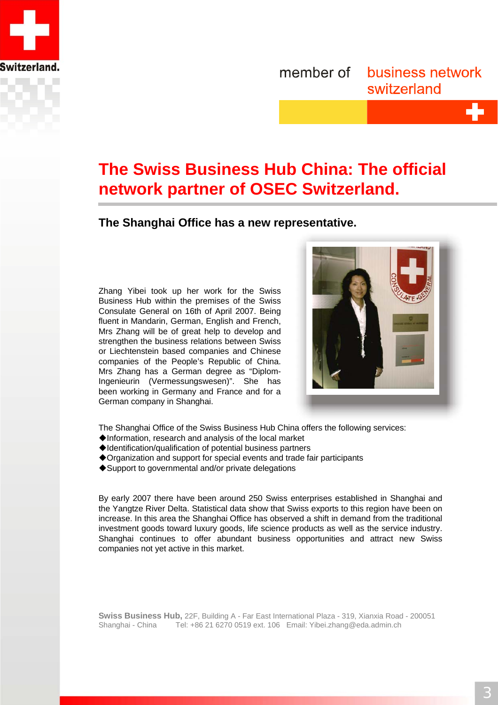

#### member of business network switzerland

# **The Swiss Business Hub China: The official network partner of OSEC Switzerland.**

**The Shanghai Office has a new representative.**

Zhang Yibei took up her work for the Swiss Business Hub within the premises of the Swiss Consulate General on 16th of April 2007. Being fluent in Mandarin, German, English and French, Mrs Zhang will be of great help to develop and strengthen the business relations between Swiss or Liechtenstein based companies and Chinese companies of the People's Republic of China. Mrs Zhang has a German degree as "Diplom-Ingenieurin (Vermessungswesen)". She has been working in Germany and France and for a German company in Shanghai.



The Shanghai Office of the Swiss Business Hub China offers the following services:

- Information, research and analysis of the local market
- Identification/qualification of potential business partners
- Organization and support for special events and trade fair participants
- ◆ Support to governmental and/or private delegations

By early 2007 there have been around 250 Swiss enterprises established in Shanghai and the Yangtze River Delta. Statistical data show that Swiss exports to this region have been on increase. In this area the Shanghai Office has observed a shift in demand from the traditional investment goods toward luxury goods, life science products as well as the service industry. Shanghai continues to offer abundant business opportunities and attract new Swiss companies not yet active in this market.

**Swiss Business Hub,** 22F, Building A - Far East International Plaza - 319, Xianxia Road - 200051 Shanghai - China Tel: +86 21 6270 0519 ext. 106 Email: Yibei.zhang@eda.admin.ch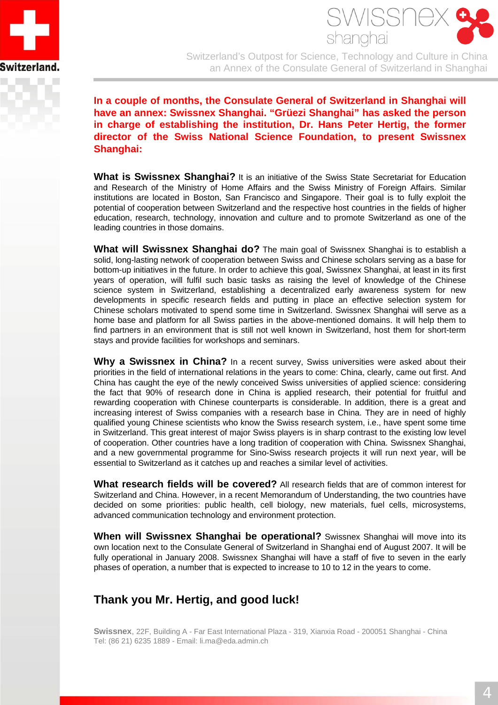



Switzerland's Outpost for Science, Technology and Culture in China an Annex of the Consulate General of Switzerland in Shanghai

**In a couple of months, the Consulate General of Switzerland in Shanghai will have an annex: Swissnex Shanghai. "Grüezi Shanghai" has asked the person in charge of establishing the institution, Dr. Hans Peter Hertig, the former director of the Swiss National Science Foundation, to present Swissnex Shanghai:**

**What is Swissnex Shanghai?** It is an initiative of the Swiss State Secretariat for Education and Research of the Ministry of Home Affairs and the Swiss Ministry of Foreign Affairs. Similar institutions are located in Boston, San Francisco and Singapore. Their goal is to fully exploit the potential of cooperation between Switzerland and the respective host countries in the fields of higher education, research, technology, innovation and culture and to promote Switzerland as one of the leading countries in those domains.

**What will Swissnex Shanghai do?** The main goal of Swissnex Shanghai is to establish a solid, long-lasting network of cooperation between Swiss and Chinese scholars serving as a base for bottom-up initiatives in the future. In order to achieve this goal, Swissnex Shanghai, at least in its first years of operation, will fulfil such basic tasks as raising the level of knowledge of the Chinese science system in Switzerland, establishing a decentralized early awareness system for new developments in specific research fields and putting in place an effective selection system for Chinese scholars motivated to spend some time in Switzerland. Swissnex Shanghai will serve as a home base and platform for all Swiss parties in the above-mentioned domains. It will help them to find partners in an environment that is still not well known in Switzerland, host them for short-term stays and provide facilities for workshops and seminars.

**Why a Swissnex in China?** In a recent survey, Swiss universities were asked about their priorities in the field of international relations in the years to come: China, clearly, came out first. And China has caught the eye of the newly conceived Swiss universities of applied science: considering the fact that 90% of research done in China is applied research, their potential for fruitful and rewarding cooperation with Chinese counterparts is considerable. In addition, there is a great and increasing interest of Swiss companies with a research base in China. They are in need of highly qualified young Chinese scientists who know the Swiss research system, i.e., have spent some time in Switzerland. This great interest of major Swiss players is in sharp contrast to the existing low level of cooperation. Other countries have a long tradition of cooperation with China. Swissnex Shanghai, and a new governmental programme for Sino-Swiss research projects it will run next year, will be essential to Switzerland as it catches up and reaches a similar level of activities.

**What research fields will be covered?** All research fields that are of common interest for Switzerland and China. However, in a recent Memorandum of Understanding, the two countries have decided on some priorities: public health, cell biology, new materials, fuel cells, microsystems, advanced communication technology and environment protection.

**When will Swissnex Shanghai be operational?** Swissnex Shanghai will move into its own location next to the Consulate General of Switzerland in Shanghai end of August 2007. It will be fully operational in January 2008. Swissnex Shanghai will have a staff of five to seven in the early phases of operation, a number that is expected to increase to 10 to 12 in the years to come.

#### **Thank you Mr. Hertig, and good luck!**

**Swissnex**, 22F, Building A - Far East International Plaza - 319, Xianxia Road - 200051 Shanghai - China Tel: (86 21) 6235 1889 - Email: li.ma@eda.admin.ch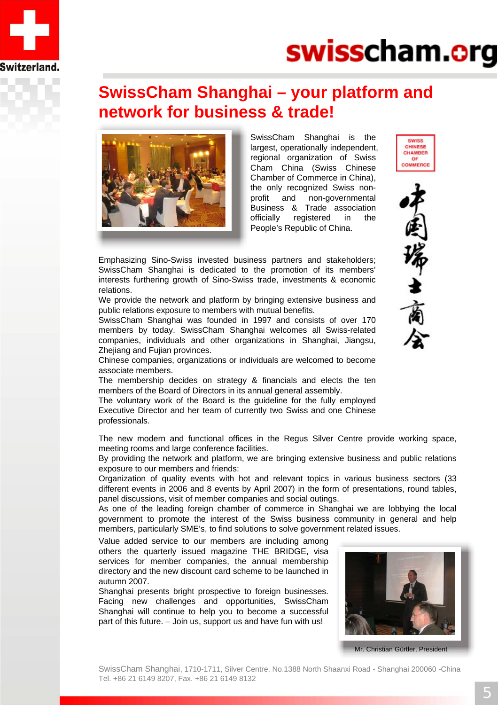

# swisscham.org

### **SwissCham Shanghai – your platform and network for business & trade!**



SwissCham Shanghai is the largest, operationally independent, regional organization of Swiss Cham China (Swiss Chinese Chamber of Commerce in China), the only recognized Swiss nonprofit and non-governmental Business & Trade association officially registered in the People's Republic of China.





Emphasizing Sino-Swiss invested business partners and stakeholders; SwissCham Shanghai is dedicated to the promotion of its members' interests furthering growth of Sino-Swiss trade, investments & economic relations.

We provide the network and platform by bringing extensive business and public relations exposure to members with mutual benefits.

SwissCham Shanghai was founded in 1997 and consists of over 170 members by today. SwissCham Shanghai welcomes all Swiss-related companies, individuals and other organizations in Shanghai, Jiangsu, Zhejiang and Fujian provinces.

Chinese companies, organizations or individuals are welcomed to become associate members.

The membership decides on strategy & financials and elects the ten members of the Board of Directors in its annual general assembly.

The voluntary work of the Board is the guideline for the fully employed Executive Director and her team of currently two Swiss and one Chinese professionals.

The new modern and functional offices in the Regus Silver Centre provide working space, meeting rooms and large conference facilities.

By providing the network and platform, we are bringing extensive business and public relations exposure to our members and friends:

Organization of quality events with hot and relevant topics in various business sectors (33 different events in 2006 and 8 events by April 2007) in the form of presentations, round tables, panel discussions, visit of member companies and social outings.

As one of the leading foreign chamber of commerce in Shanghai we are lobbying the local government to promote the interest of the Swiss business community in general and help members, particularly SME's, to find solutions to solve government related issues.

Value added service to our members are including among others the quarterly issued magazine THE BRIDGE, visa services for member companies, the annual membership directory and the new discount card scheme to be launched in autumn 2007.

Shanghai presents bright prospective to foreign businesses. Facing new challenges and opportunities, SwissCham Shanghai will continue to help you to become a successful part of this future. – Join us, support us and have fun with us!



Mr. Christian Gürtler, President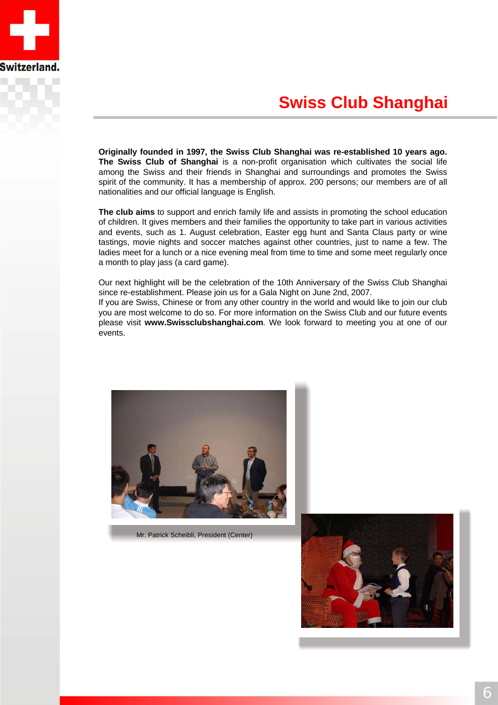

# **Swiss Club Shanghai**

**Originally founded in 1997, the Swiss Club Shanghai was re-established 10 years ago. The Swiss Club of Shanghai** is a non-profit organisation which cultivates the social life among the Swiss and their friends in Shanghai and surroundings and promotes the Swiss spirit of the community. It has a membership of approx. 200 persons; our members are of all nationalities and our official language is English.

**The club aims** to support and enrich family life and assists in promoting the school education of children. It gives members and their families the opportunity to take part in various activities and events, such as 1. August celebration, Easter egg hunt and Santa Claus party or wine tastings, movie nights and soccer matches against other countries, just to name a few. The ladies meet for a lunch or a nice evening meal from time to time and some meet regularly once a month to play jass (a card game).

Our next highlight will be the celebration of the 10th Anniversary of the Swiss Club Shanghai since re-establishment. Please join us for a Gala Night on June 2nd, 2007.

If you are Swiss, Chinese or from any other country in the world and would like to join our club you are most welcome to do so. For more information on the Swiss Club and our future events please visit **www.Swissclubshanghai.com**. We look forward to meeting you at one of our events.



Mr. Patrick Scheibli, President (Center)

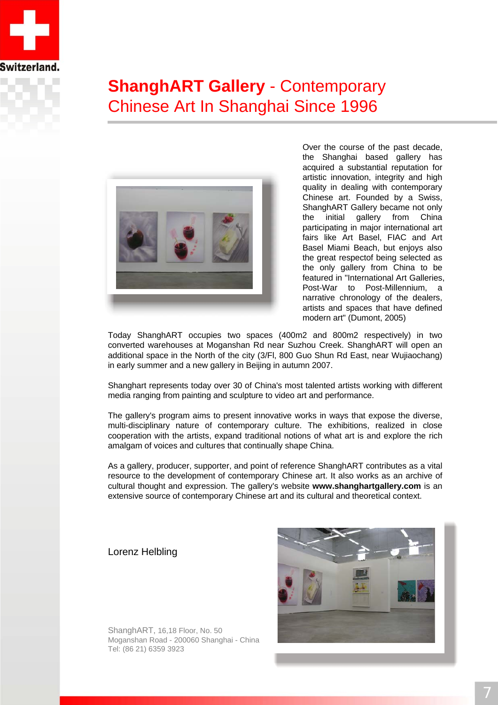

# **ShanghART Gallery** - Contemporary Chinese Art In Shanghai Since 1996



Over the course of the past decade, the Shanghai based gallery has acquired a substantial reputation for artistic innovation, integrity and high quality in dealing with contemporary Chinese art. Founded by a Swiss, ShanghART Gallery became not only the initial gallery from China participating in major international art fairs like Art Basel, FIAC and Art Basel Miami Beach, but enjoys also the great respectof being selected as the only gallery from China to be featured in "International Art Galleries, Post-War to Post-Millennium, a narrative chronology of the dealers, artists and spaces that have defined modern art" (Dumont, 2005)

Today ShanghART occupies two spaces (400m2 and 800m2 respectively) in two converted warehouses at Moganshan Rd near Suzhou Creek. ShanghART will open an additional space in the North of the city (3/Fl, 800 Guo Shun Rd East, near Wujiaochang) in early summer and a new gallery in Beijing in autumn 2007.

Shanghart represents today over 30 of China's most talented artists working with different media ranging from painting and sculpture to video art and performance.

The gallery's program aims to present innovative works in ways that expose the diverse, multi-disciplinary nature of contemporary culture. The exhibitions, realized in close cooperation with the artists, expand traditional notions of what art is and explore the rich amalgam of voices and cultures that continually shape China.

As a gallery, producer, supporter, and point of reference ShanghART contributes as a vital resource to the development of contemporary Chinese art. It also works as an archive of cultural thought and expression. The gallery's website **www.shanghartgallery.com** is an extensive source of contemporary Chinese art and its cultural and theoretical context.

#### Lorenz Helbling



ShanghART, 16,18 Floor, No. 50 Moganshan Road - 200060 Shanghai - China Tel: (86 21) 6359 3923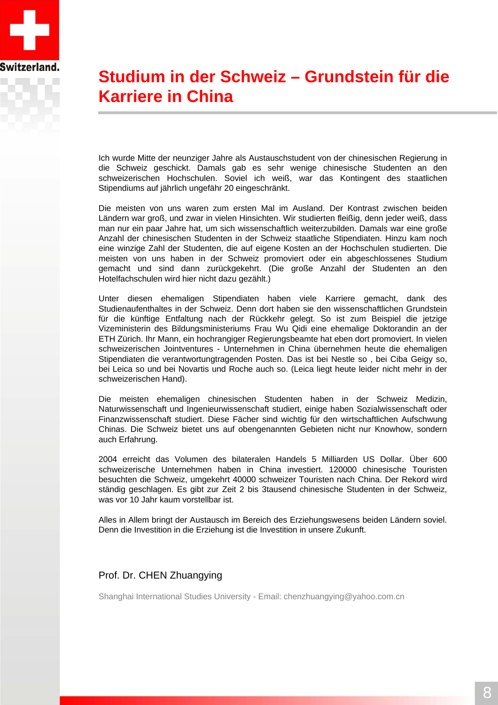

# **Studium in der Schweiz – Grundstein für die Karriere in China**

Ich wurde Mitte der neunziger Jahre als Austauschstudent von der chinesischen Regierung in die Schweiz geschickt. Damals gab es sehr wenige chinesische Studenten an den schweizerischen Hochschulen. Soviel ich weiß, war das Kontingent des staatlichen Stipendiums auf jährlich ungefähr 20 eingeschränkt.

Die meisten von uns waren zum ersten Mal im Ausland. Der Kontrast zwischen beiden Ländern war groß, und zwar in vielen Hinsichten. Wir studierten fleißig, denn jeder weiß, dass man nur ein paar Jahre hat, um sich wissenschaftlich weiterzubilden. Damals war eine große Anzahl der chinesischen Studenten in der Schweiz staatliche Stipendiaten. Hinzu kam noch eine winzige Zahl der Studenten, die auf eigene Kosten an der Hochschulen studierten. Die meisten von uns haben in der Schweiz promoviert oder ein abgeschlossenes Studium gemacht und sind dann zurückgekehrt. (Die große Anzahl der Studenten an den Hotelfachschulen wird hier nicht dazu gezählt.)

Unter diesen ehemaligen Stipendiaten haben viele Karriere gemacht, dank des Studienaufenthaltes in der Schweiz. Denn dort haben sie den wissenschaftlichen Grundstein für die künftige Entfaltung nach der Rückkehr gelegt. So ist zum Beispiel die jetzige Vizeministerin des Bildungsministeriums Frau Wu Qidi eine ehemalige Doktorandin an der ETH Zürich. Ihr Mann, ein hochrangiger Regierungsbeamte hat eben dort promoviert. In vielen schweizerischen Jointventures - Unternehmen in China übernehmen heute die ehemaligen Stipendiaten die verantwortungtragenden Posten. Das ist bei Nestle so , bei Ciba Geigy so, bei Leica so und bei Novartis und Roche auch so. (Leica liegt heute leider nicht mehr in der schweizerischen Hand).

Die meisten ehemaligen chinesischen Studenten haben in der Schweiz Medizin, Naturwissenschaft und Ingenieurwissenschaft studiert, einige haben Sozialwissenschaft oder Finanzwissenschaft studiert. Diese Fächer sind wichtig für den wirtschaftlichen Aufschwung Chinas. Die Schweiz bietet uns auf obengenannten Gebieten nicht nur Knowhow, sondern auch Erfahrung.

2004 erreicht das Volumen des bilateralen Handels 5 Milliarden US Dollar. Über 600 schweizerische Unternehmen haben in China investiert. 120000 chinesische Touristen besuchten die Schweiz, umgekehrt 40000 schweizer Touristen nach China. Der Rekord wird ständig geschlagen. Es gibt zur Zeit 2 bis 3tausend chinesische Studenten in der Schweiz, was vor 10 Jahr kaum vorstellbar ist.

Alles in Allem bringt der Austausch im Bereich des Erziehungswesens beiden Ländern soviel. Denn die Investition in die Erziehung ist die Investition in unsere Zukunft.

#### Prof. Dr. CHEN Zhuangying

Shanghai International Studies University - Email: chenzhuangying@yahoo.com.cn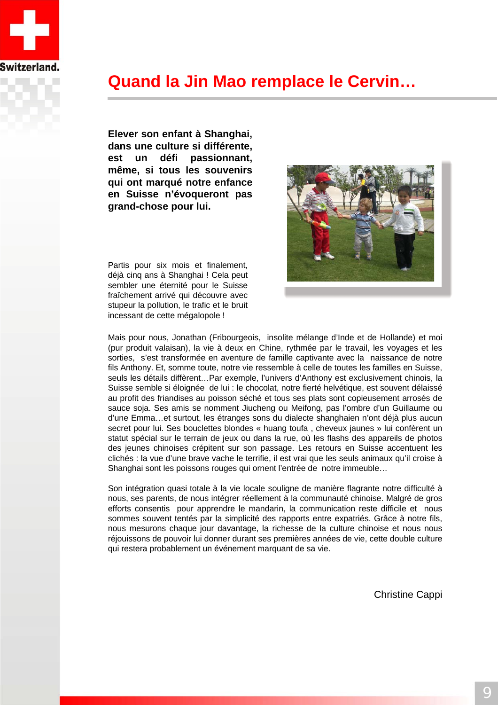

### **Quand la Jin Mao remplace le Cervin…**

**Elever son enfant à Shanghai, dans une culture si différente, est un défi passionnant, même, si tous les souvenirs qui ont marqué notre enfance en Suisse n'évoqueront pas grand-chose pour lui.**



Partis pour six mois et finalement, déjà cinq ans à Shanghai ! Cela peut sembler une éternité pour le Suisse fraîchement arrivé qui découvre avec stupeur la pollution, le trafic et le bruit incessant de cette mégalopole !

Mais pour nous, Jonathan (Fribourgeois, insolite mélange d'Inde et de Hollande) et moi (pur produit valaisan), la vie à deux en Chine, rythmée par le travail, les voyages et les sorties, s'est transformée en aventure de famille captivante avec la naissance de notre fils Anthony. Et, somme toute, notre vie ressemble à celle de toutes les familles en Suisse, seuls les détails diffèrent…Par exemple, l'univers d'Anthony est exclusivement chinois, la Suisse semble si éloignée de lui : le chocolat, notre fierté helvétique, est souvent délaissé au profit des friandises au poisson séché et tous ses plats sont copieusement arrosés de sauce soja. Ses amis se nomment Jiucheng ou Meifong, pas l'ombre d'un Guillaume ou d'une Emma…et surtout, les étranges sons du dialecte shanghaien n'ont déjà plus aucun secret pour lui. Ses bouclettes blondes « huang toufa , cheveux jaunes » lui confèrent un statut spécial sur le terrain de jeux ou dans la rue, où les flashs des appareils de photos des jeunes chinoises crépitent sur son passage. Les retours en Suisse accentuent les clichés : la vue d'une brave vache le terrifie, il est vrai que les seuls animaux qu'il croise à Shanghai sont les poissons rouges qui ornent l'entrée de notre immeuble…

Son intégration quasi totale à la vie locale souligne de manière flagrante notre difficulté à nous, ses parents, de nous intégrer réellement à la communauté chinoise. Malgré de gros efforts consentis pour apprendre le mandarin, la communication reste difficile et nous sommes souvent tentés par la simplicité des rapports entre expatriés. Grâce à notre fils, nous mesurons chaque jour davantage, la richesse de la culture chinoise et nous nous réjouissons de pouvoir lui donner durant ses premières années de vie, cette double culture qui restera probablement un événement marquant de sa vie.

Christine Cappi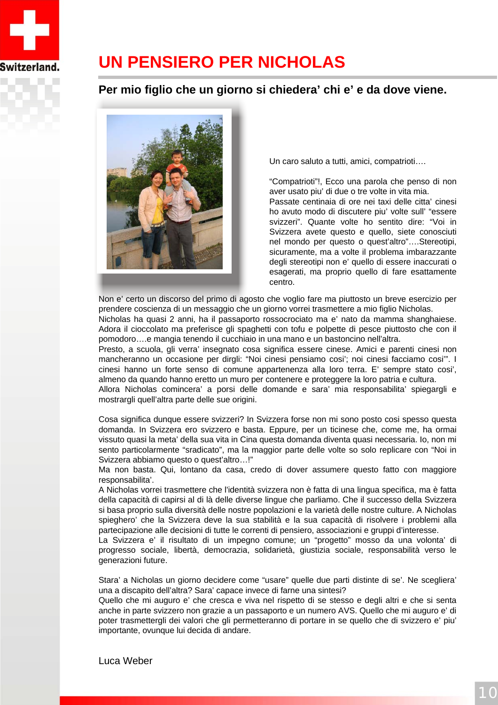

# **UN PENSIERO PER NICHOLAS**

#### **Per mio figlio che un giorno si chiedera' chi e' e da dove viene.**



Un caro saluto a tutti, amici, compatrioti….

"Compatrioti"!, Ecco una parola che penso di non aver usato piu' di due o tre volte in vita mia. Passate centinaia di ore nei taxi delle citta' cinesi ho avuto modo di discutere piu' volte sull' "essere svizzeri". Quante volte ho sentito dire: "Voi in Svizzera avete questo e quello, siete conosciuti nel mondo per questo o quest'altro"….Stereotipi, sicuramente, ma a volte il problema imbarazzante degli stereotipi non e' quello di essere inaccurati o esagerati, ma proprio quello di fare esattamente centro.

Non e' certo un discorso del primo di agosto che voglio fare ma piuttosto un breve esercizio per prendere coscienza di un messaggio che un giorno vorrei trasmettere a mio figlio Nicholas.

Nicholas ha quasi 2 anni, ha il passaporto rossocrociato ma e' nato da mamma shanghaiese. Adora il cioccolato ma preferisce gli spaghetti con tofu e polpette di pesce piuttosto che con il pomodoro….e mangia tenendo il cucchiaio in una mano e un bastoncino nell'altra.

Presto, a scuola, gli verra' insegnato cosa significa essere cinese. Amici e parenti cinesi non mancheranno un occasione per dirgli: "Noi cinesi pensiamo cosi'; noi cinesi facciamo cosi'". I cinesi hanno un forte senso di comune appartenenza alla loro terra. E' sempre stato cosi', almeno da quando hanno eretto un muro per contenere e proteggere la loro patria e cultura.

Allora Nicholas comincera' a porsi delle domande e sara' mia responsabilita' spiegargli e mostrargli quell'altra parte delle sue origini.

Cosa significa dunque essere svizzeri? In Svizzera forse non mi sono posto cosi spesso questa domanda. In Svizzera ero svizzero e basta. Eppure, per un ticinese che, come me, ha ormai vissuto quasi la meta' della sua vita in Cina questa domanda diventa quasi necessaria. Io, non mi sento particolarmente "sradicato", ma la maggior parte delle volte so solo replicare con "Noi in Svizzera abbiamo questo o quest'altro…!"

Ma non basta. Qui, lontano da casa, credo di dover assumere questo fatto con maggiore responsabilita'.

A Nicholas vorrei trasmettere che l'identità svizzera non è fatta di una lingua specifica, ma è fatta della capacità di capirsi al di là delle diverse lingue che parliamo. Che il successo della Svizzera si basa proprio sulla diversità delle nostre popolazioni e la varietà delle nostre culture. A Nicholas spieghero' che la Svizzera deve la sua stabilità e la sua capacità di risolvere i problemi alla partecipazione alle decisioni di tutte le correnti di pensiero, associazioni e gruppi d'interesse.

La Svizzera e' il risultato di un impegno comune; un "progetto" mosso da una volonta' di progresso sociale, libertà, democrazia, solidarietà, giustizia sociale, responsabilità verso le generazioni future.

Stara' a Nicholas un giorno decidere come "usare" quelle due parti distinte di se'. Ne scegliera' una a discapito dell'altra? Sara' capace invece di farne una sintesi?

Quello che mi auguro e' che cresca e viva nel rispetto di se stesso e degli altri e che si senta anche in parte svizzero non grazie a un passaporto e un numero AVS. Quello che mi auguro e' di poter trasmettergli dei valori che gli permetteranno di portare in se quello che di svizzero e' piu' importante, ovunque lui decida di andare.

Luca Weber